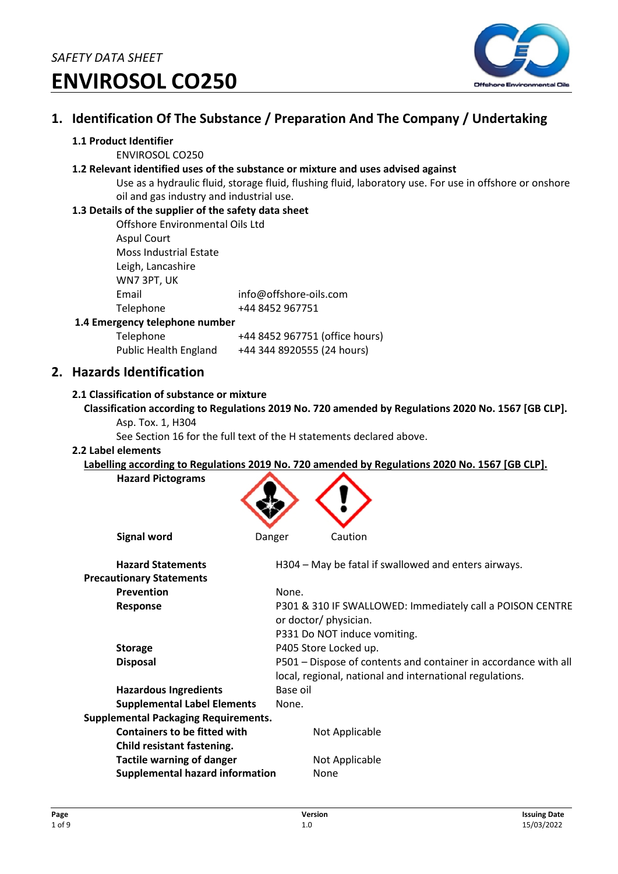

# **1. Identification Of The Substance / Preparation And The Company / Undertaking**

#### **1.1 Product Identifier**

ENVIROSOL CO250

#### **1.2 Relevant identified uses of the substance or mixture and uses advised against**

Use as a hydraulic fluid, storage fluid, flushing fluid, laboratory use. For use in offshore or onshore oil and gas industry and industrial use.

#### **1.3 Details of the supplier of the safety data sheet**

| Offshore Environmental Oils Ltd |                        |
|---------------------------------|------------------------|
| <b>Aspul Court</b>              |                        |
| <b>Moss Industrial Estate</b>   |                        |
| Leigh, Lancashire               |                        |
| WN7 3PT, UK                     |                        |
| Email                           | info@offshore-oils.com |
| Telephone                       | +44 8452 967751        |
| rgancy talanhona numhar         |                        |

#### **1.4 Emergency telephone number**

Telephone +44 8452 967751 (office hours) Public Health England +44 344 8920555 (24 hours)

### **2. Hazards Identification**

#### **2.1 Classification of substance or mixture**

- **Classification according to Regulations 2019 No. 720 amended by Regulations 2020 No. 1567 [GB CLP].** 
	- Asp. Tox. 1, H304

See Section 16 for the full text of the H statements declared above.

#### **2.2 Label elements**

**Labelling according to Regulations 2019 No. 720 amended by Regulations 2020 No. 1567 [GB CLP].** 

| <b>Hazard Pictograms</b>                    |                                                                 |
|---------------------------------------------|-----------------------------------------------------------------|
| <b>Signal word</b>                          | Caution<br>Danger                                               |
| <b>Hazard Statements</b>                    | H304 - May be fatal if swallowed and enters airways.            |
| <b>Precautionary Statements</b>             |                                                                 |
| Prevention                                  | None.                                                           |
| Response                                    | P301 & 310 IF SWALLOWED: Immediately call a POISON CENTRE       |
|                                             | or doctor/ physician.                                           |
|                                             | P331 Do NOT induce vomiting.                                    |
| <b>Storage</b>                              | P405 Store Locked up.                                           |
| <b>Disposal</b>                             | P501 – Dispose of contents and container in accordance with all |
|                                             | local, regional, national and international regulations.        |
| <b>Hazardous Ingredients</b>                | Base oil                                                        |
| <b>Supplemental Label Elements</b>          | None.                                                           |
| <b>Supplemental Packaging Requirements.</b> |                                                                 |
| <b>Containers to be fitted with</b>         | Not Applicable                                                  |
| Child resistant fastening.                  |                                                                 |
| <b>Tactile warning of danger</b>            | Not Applicable                                                  |
| <b>Supplemental hazard information</b>      | None                                                            |
|                                             |                                                                 |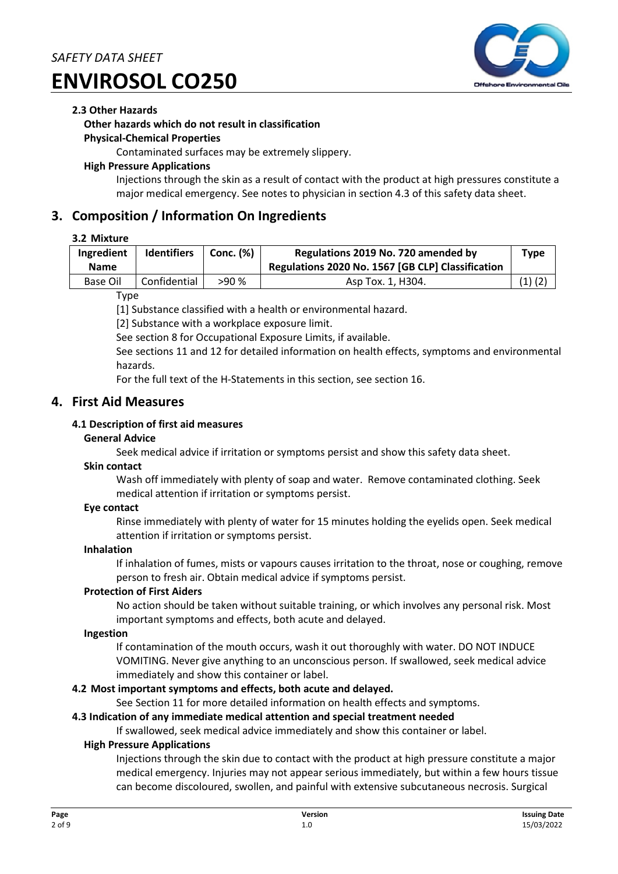

#### **2.3 Other Hazards**

#### **Other hazards which do not result in classification**

#### **Physical-Chemical Properties**

Contaminated surfaces may be extremely slippery.

#### **High Pressure Applications**

Injections through the skin as a result of contact with the product at high pressures constitute a major medical emergency. See notes to physician in section 4.3 of this safety data sheet.

### **3. Composition / Information On Ingredients**

#### **3.2 Mixture**

| Ingredient<br><b>Name</b> | <b>Identifiers</b> | Conc. (%) | Regulations 2019 No. 720 amended by<br>Regulations 2020 No. 1567 [GB CLP] Classification | Type        |
|---------------------------|--------------------|-----------|------------------------------------------------------------------------------------------|-------------|
| <b>Base Oil</b>           | Confidential       | >90%      | Asp Tox. 1, H304.                                                                        | $(1)$ $(2)$ |

Type

[1] Substance classified with a health or environmental hazard.

[2] Substance with a workplace exposure limit.

See section 8 for Occupational Exposure Limits, if available.

See sections 11 and 12 for detailed information on health effects, symptoms and environmental hazards.

For the full text of the H-Statements in this section, see section 16.

# **4. First Aid Measures**

#### **4.1 Description of first aid measures**

#### **General Advice**

Seek medical advice if irritation or symptoms persist and show this safety data sheet.

#### **Skin contact**

Wash off immediately with plenty of soap and water. Remove contaminated clothing. Seek medical attention if irritation or symptoms persist.

#### **Eye contact**

Rinse immediately with plenty of water for 15 minutes holding the eyelids open. Seek medical attention if irritation or symptoms persist.

#### **Inhalation**

If inhalation of fumes, mists or vapours causes irritation to the throat, nose or coughing, remove person to fresh air. Obtain medical advice if symptoms persist.

#### **Protection of First Aiders**

No action should be taken without suitable training, or which involves any personal risk. Most important symptoms and effects, both acute and delayed.

#### **Ingestion**

If contamination of the mouth occurs, wash it out thoroughly with water. DO NOT INDUCE VOMITING. Never give anything to an unconscious person. If swallowed, seek medical advice immediately and show this container or label.

#### **4.2 Most important symptoms and effects, both acute and delayed.**

See Section 11 for more detailed information on health effects and symptoms.

#### **4.3 Indication of any immediate medical attention and special treatment needed**

If swallowed, seek medical advice immediately and show this container or label.

#### **High Pressure Applications**

Injections through the skin due to contact with the product at high pressure constitute a major medical emergency. Injuries may not appear serious immediately, but within a few hours tissue can become discoloured, swollen, and painful with extensive subcutaneous necrosis. Surgical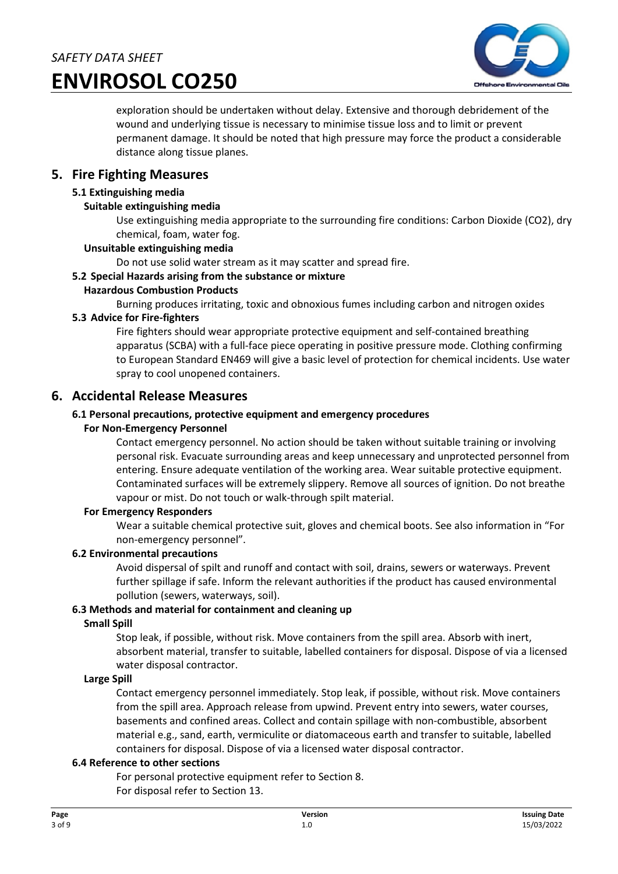

exploration should be undertaken without delay. Extensive and thorough debridement of the wound and underlying tissue is necessary to minimise tissue loss and to limit or prevent permanent damage. It should be noted that high pressure may force the product a considerable distance along tissue planes.

### **5. Fire Fighting Measures**

#### **5.1 Extinguishing media**

#### **Suitable extinguishing media**

Use extinguishing media appropriate to the surrounding fire conditions: Carbon Dioxide (CO2), dry chemical, foam, water fog.

#### **Unsuitable extinguishing media**

Do not use solid water stream as it may scatter and spread fire.

#### **5.2 Special Hazards arising from the substance or mixture**

#### **Hazardous Combustion Products**

Burning produces irritating, toxic and obnoxious fumes including carbon and nitrogen oxides

#### **5.3 Advice for Fire-fighters**

Fire fighters should wear appropriate protective equipment and self-contained breathing apparatus (SCBA) with a full-face piece operating in positive pressure mode. Clothing confirming to European Standard EN469 will give a basic level of protection for chemical incidents. Use water spray to cool unopened containers.

#### **6. Accidental Release Measures**

#### **6.1 Personal precautions, protective equipment and emergency procedures**

#### **For Non-Emergency Personnel**

Contact emergency personnel. No action should be taken without suitable training or involving personal risk. Evacuate surrounding areas and keep unnecessary and unprotected personnel from entering. Ensure adequate ventilation of the working area. Wear suitable protective equipment. Contaminated surfaces will be extremely slippery. Remove all sources of ignition. Do not breathe vapour or mist. Do not touch or walk-through spilt material.

#### **For Emergency Responders**

Wear a suitable chemical protective suit, gloves and chemical boots. See also information in "For non-emergency personnel".

#### **6.2 Environmental precautions**

Avoid dispersal of spilt and runoff and contact with soil, drains, sewers or waterways. Prevent further spillage if safe. Inform the relevant authorities if the product has caused environmental pollution (sewers, waterways, soil).

#### **6.3 Methods and material for containment and cleaning up**

#### **Small Spill**

Stop leak, if possible, without risk. Move containers from the spill area. Absorb with inert, absorbent material, transfer to suitable, labelled containers for disposal. Dispose of via a licensed water disposal contractor.

#### **Large Spill**

Contact emergency personnel immediately. Stop leak, if possible, without risk. Move containers from the spill area. Approach release from upwind. Prevent entry into sewers, water courses, basements and confined areas. Collect and contain spillage with non-combustible, absorbent material e.g., sand, earth, vermiculite or diatomaceous earth and transfer to suitable, labelled containers for disposal. Dispose of via a licensed water disposal contractor.

#### **6.4 Reference to other sections**

For personal protective equipment refer to Section 8. For disposal refer to Section 13.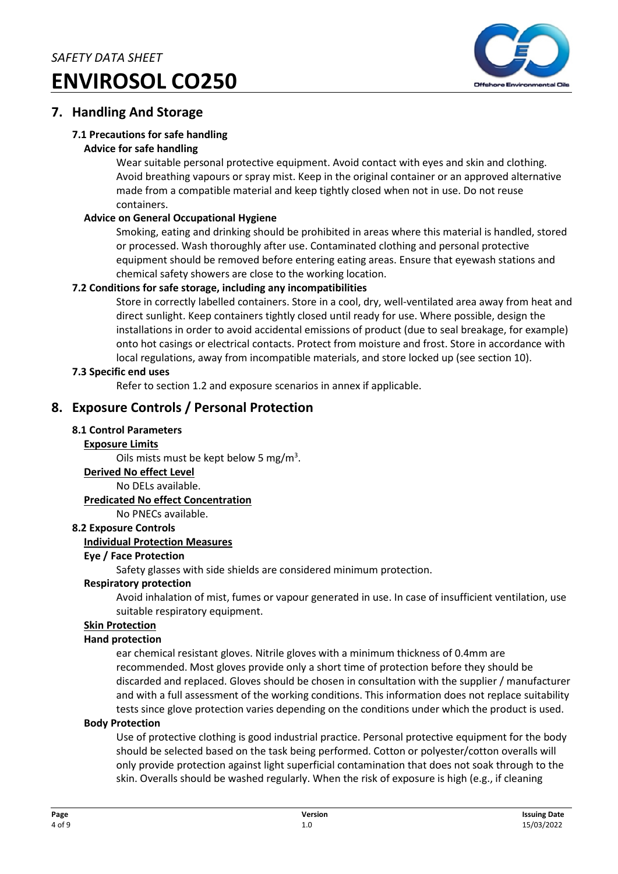

# **7. Handling And Storage**

### **7.1 Precautions for safe handling**

#### **Advice for safe handling**

Wear suitable personal protective equipment. Avoid contact with eyes and skin and clothing. Avoid breathing vapours or spray mist. Keep in the original container or an approved alternative made from a compatible material and keep tightly closed when not in use. Do not reuse containers.

#### **Advice on General Occupational Hygiene**

Smoking, eating and drinking should be prohibited in areas where this material is handled, stored or processed. Wash thoroughly after use. Contaminated clothing and personal protective equipment should be removed before entering eating areas. Ensure that eyewash stations and chemical safety showers are close to the working location.

#### **7.2 Conditions for safe storage, including any incompatibilities**

Store in correctly labelled containers. Store in a cool, dry, well-ventilated area away from heat and direct sunlight. Keep containers tightly closed until ready for use. Where possible, design the installations in order to avoid accidental emissions of product (due to seal breakage, for example) onto hot casings or electrical contacts. Protect from moisture and frost. Store in accordance with local regulations, away from incompatible materials, and store locked up (see section 10).

#### **7.3 Specific end uses**

Refer to section 1.2 and exposure scenarios in annex if applicable.

# **8. Exposure Controls / Personal Protection**

#### **8.1 Control Parameters**

#### **Exposure Limits**

Oils mists must be kept below 5 mg/ $m<sup>3</sup>$ .

**Derived No effect Level** 

No DELs available.

#### **Predicated No effect Concentration**

No PNECs available.

#### **8.2 Exposure Controls**

#### **Individual Protection Measures**

#### **Eye / Face Protection**

Safety glasses with side shields are considered minimum protection.

#### **Respiratory protection**

Avoid inhalation of mist, fumes or vapour generated in use. In case of insufficient ventilation, use suitable respiratory equipment.

#### **Skin Protection**

#### **Hand protection**

ear chemical resistant gloves. Nitrile gloves with a minimum thickness of 0.4mm are recommended. Most gloves provide only a short time of protection before they should be discarded and replaced. Gloves should be chosen in consultation with the supplier / manufacturer and with a full assessment of the working conditions. This information does not replace suitability tests since glove protection varies depending on the conditions under which the product is used.

#### **Body Protection**

Use of protective clothing is good industrial practice. Personal protective equipment for the body should be selected based on the task being performed. Cotton or polyester/cotton overalls will only provide protection against light superficial contamination that does not soak through to the skin. Overalls should be washed regularly. When the risk of exposure is high (e.g., if cleaning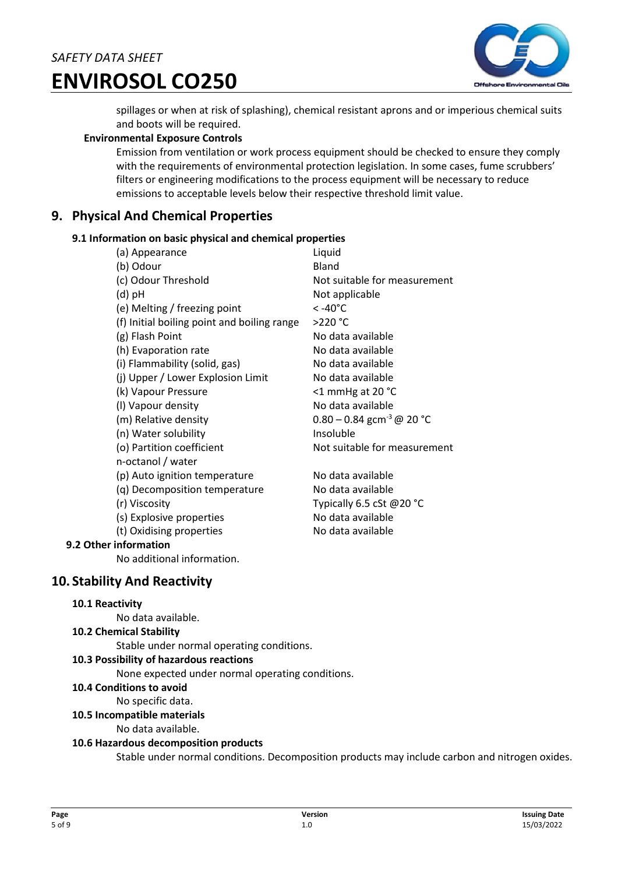

spillages or when at risk of splashing), chemical resistant aprons and or imperious chemical suits and boots will be required.

#### **Environmental Exposure Controls**

Emission from ventilation or work process equipment should be checked to ensure they comply with the requirements of environmental protection legislation. In some cases, fume scrubbers' filters or engineering modifications to the process equipment will be necessary to reduce emissions to acceptable levels below their respective threshold limit value.

# **9. Physical And Chemical Properties**

#### **9.1 Information on basic physical and chemical properties**

| (a) Appearance                              | Liquid                                  |
|---------------------------------------------|-----------------------------------------|
| (b) Odour                                   | Bland                                   |
| (c) Odour Threshold                         | Not suitable for measurement            |
| (d) pH                                      | Not applicable                          |
| (e) Melting / freezing point                | < -40°C                                 |
| (f) Initial boiling point and boiling range | $>220$ °C                               |
| (g) Flash Point                             | No data available                       |
| (h) Evaporation rate                        | No data available                       |
| (i) Flammability (solid, gas)               | No data available                       |
| (j) Upper / Lower Explosion Limit           | No data available                       |
| (k) Vapour Pressure                         | <1 mmHg at 20 °C                        |
| (I) Vapour density                          | No data available                       |
| (m) Relative density                        | $0.80 - 0.84$ gcm <sup>-3</sup> @ 20 °C |
| (n) Water solubility                        | Insoluble                               |
| (o) Partition coefficient                   | Not suitable for measurement            |
| n-octanol / water                           |                                         |
| (p) Auto ignition temperature               | No data available                       |
| (q) Decomposition temperature               | No data available                       |
| (r) Viscosity                               | Typically 6.5 cSt @20 °C                |
| (s) Explosive properties                    | No data available                       |
| (t) Oxidising properties                    | No data available                       |
| 9.2 Other information                       |                                         |

No additional information.

# **10. Stability And Reactivity**

#### **10.1 Reactivity**

No data available.

#### **10.2 Chemical Stability**

Stable under normal operating conditions.

#### **10.3 Possibility of hazardous reactions**

None expected under normal operating conditions.

#### **10.4 Conditions to avoid**

No specific data.

#### **10.5 Incompatible materials**

No data available.

#### **10.6 Hazardous decomposition products**

Stable under normal conditions. Decomposition products may include carbon and nitrogen oxides.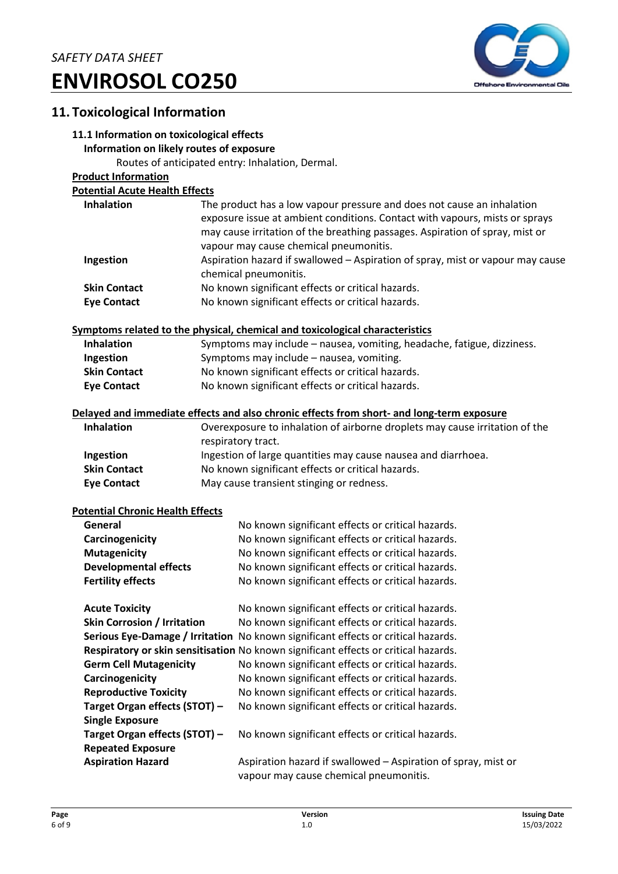

# **11. Toxicological Information**

### **11.1 Information on toxicological effects**

#### **Information on likely routes of exposure**

Routes of anticipated entry: Inhalation, Dermal.

#### **Product Information**

#### **Potential Acute Health Effects**

| <b>Inhalation</b>                       | The product has a low vapour pressure and does not cause an inhalation<br>exposure issue at ambient conditions. Contact with vapours, mists or sprays<br>may cause irritation of the breathing passages. Aspiration of spray, mist or |
|-----------------------------------------|---------------------------------------------------------------------------------------------------------------------------------------------------------------------------------------------------------------------------------------|
|                                         | vapour may cause chemical pneumonitis.                                                                                                                                                                                                |
| Ingestion                               | Aspiration hazard if swallowed - Aspiration of spray, mist or vapour may cause                                                                                                                                                        |
|                                         | chemical pneumonitis.                                                                                                                                                                                                                 |
| <b>Skin Contact</b>                     | No known significant effects or critical hazards.                                                                                                                                                                                     |
| <b>Eye Contact</b>                      | No known significant effects or critical hazards.                                                                                                                                                                                     |
|                                         | Symptoms related to the physical, chemical and toxicological characteristics                                                                                                                                                          |
| <b>Inhalation</b>                       | Symptoms may include - nausea, vomiting, headache, fatigue, dizziness.                                                                                                                                                                |
| Ingestion                               | Symptoms may include - nausea, vomiting.                                                                                                                                                                                              |
| <b>Skin Contact</b>                     | No known significant effects or critical hazards.                                                                                                                                                                                     |
| <b>Eye Contact</b>                      | No known significant effects or critical hazards.                                                                                                                                                                                     |
|                                         | Delayed and immediate effects and also chronic effects from short- and long-term exposure                                                                                                                                             |
| <b>Inhalation</b>                       | Overexposure to inhalation of airborne droplets may cause irritation of the                                                                                                                                                           |
|                                         | respiratory tract.                                                                                                                                                                                                                    |
| Ingestion                               | Ingestion of large quantities may cause nausea and diarrhoea.                                                                                                                                                                         |
| <b>Skin Contact</b>                     | No known significant effects or critical hazards.                                                                                                                                                                                     |
| <b>Eye Contact</b>                      | May cause transient stinging or redness.                                                                                                                                                                                              |
|                                         |                                                                                                                                                                                                                                       |
| <b>Potential Chronic Health Effects</b> |                                                                                                                                                                                                                                       |
| General                                 | No known significant effects or critical hazards.                                                                                                                                                                                     |
| Carcinogenicity                         | No known significant effects or critical hazards.                                                                                                                                                                                     |
| <b>Mutagenicity</b>                     | No known significant effects or critical hazards.                                                                                                                                                                                     |
| <b>Developmental effects</b>            | No known significant effects or critical hazards.                                                                                                                                                                                     |
| <b>Fertility effects</b>                | No known significant effects or critical hazards.                                                                                                                                                                                     |
| <b>Acute Toxicity</b>                   | No known significant effects or critical hazards.                                                                                                                                                                                     |
| <b>Skin Corrosion / Irritation</b>      | No known significant effects or critical hazards.                                                                                                                                                                                     |
|                                         | Serious Eye-Damage / Irritation No known significant effects or critical hazards.                                                                                                                                                     |
|                                         | Respiratory or skin sensitisation No known significant effects or critical hazards.                                                                                                                                                   |
| <b>Germ Cell Mutagenicity</b>           | No known significant effects or critical hazards.                                                                                                                                                                                     |
| Carcinogenicity                         | No known significant effects or critical hazards.                                                                                                                                                                                     |
| <b>Reproductive Toxicity</b>            | No known significant effects or critical hazards.                                                                                                                                                                                     |
| Target Organ effects (STOT) -           | No known significant effects or critical hazards.                                                                                                                                                                                     |
|                                         |                                                                                                                                                                                                                                       |
| <b>Single Exposure</b>                  |                                                                                                                                                                                                                                       |
| Target Organ effects (STOT) -           | No known significant effects or critical hazards.                                                                                                                                                                                     |
| <b>Repeated Exposure</b>                |                                                                                                                                                                                                                                       |

**Aspiration Hazard** Aspiration hazard if swallowed – Aspiration of spray, mist or vapour may cause chemical pneumonitis.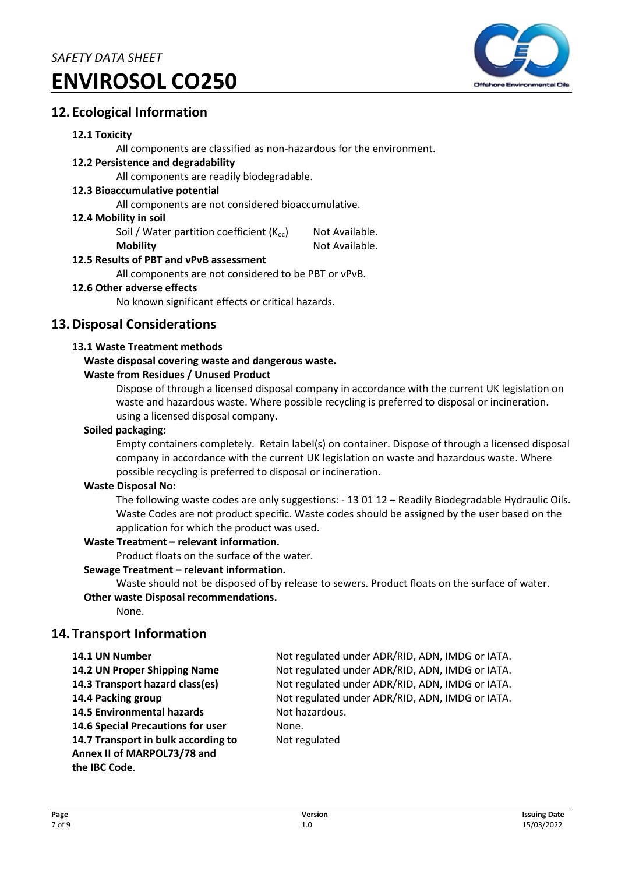

# **12. Ecological Information**

#### **12.1 Toxicity**

All components are classified as non-hazardous for the environment.

#### **12.2 Persistence and degradability**

All components are readily biodegradable.

#### **12.3 Bioaccumulative potential**

All components are not considered bioaccumulative.

#### **12.4 Mobility in soil**

Soil / Water partition coefficient  $(K_{oc})$  Not Available.

**Mobility** Not Available.

### **12.5 Results of PBT and vPvB assessment**

All components are not considered to be PBT or vPvB.

#### **12.6 Other adverse effects**

No known significant effects or critical hazards.

### **13.Disposal Considerations**

#### **13.1 Waste Treatment methods**

#### **Waste disposal covering waste and dangerous waste.**

#### **Waste from Residues / Unused Product**

Dispose of through a licensed disposal company in accordance with the current UK legislation on waste and hazardous waste. Where possible recycling is preferred to disposal or incineration. using a licensed disposal company.

#### **Soiled packaging:**

Empty containers completely. Retain label(s) on container. Dispose of through a licensed disposal company in accordance with the current UK legislation on waste and hazardous waste. Where possible recycling is preferred to disposal or incineration.

#### **Waste Disposal No:**

The following waste codes are only suggestions: - 13 01 12 – Readily Biodegradable Hydraulic Oils. Waste Codes are not product specific. Waste codes should be assigned by the user based on the application for which the product was used.

#### **Waste Treatment – relevant information.**

Product floats on the surface of the water.

#### **Sewage Treatment – relevant information.**

Waste should not be disposed of by release to sewers. Product floats on the surface of water.

# **Other waste Disposal recommendations.**

None.

# **14. Transport Information**

**14.5 Environmental hazards Not hazardous. 14.6 Special Precautions for user Server Share.** None. **14.7 Transport in bulk according to** Not regulated **Annex II of MARPOL73/78 and the IBC Code**.

**14.1 UN Number** Not regulated under ADR/RID, ADN, IMDG or IATA. **14.2 UN Proper Shipping Name** Not regulated under ADR/RID, ADN, IMDG or IATA. **14.3 Transport hazard class(es)** Not regulated under ADR/RID, ADN, IMDG or IATA. **14.4 Packing group** Not regulated under ADR/RID, ADN, IMDG or IATA.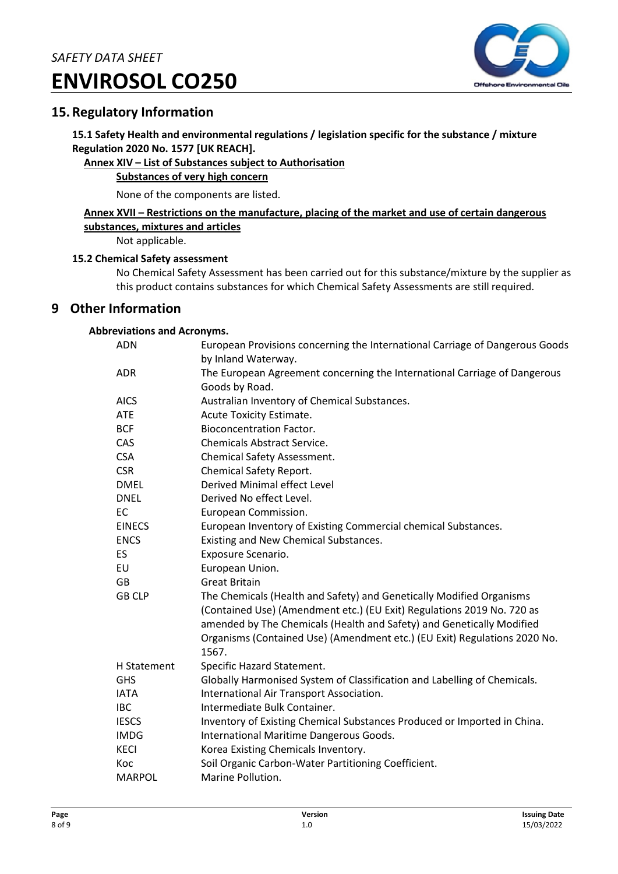

# **15.Regulatory Information**

**15.1 Safety Health and environmental regulations / legislation specific for the substance / mixture Regulation 2020 No. 1577 [UK REACH].** 

### **Annex XIV – List of Substances subject to Authorisation**

#### **Substances of very high concern**

None of the components are listed.

#### **Annex XVII – Restrictions on the manufacture, placing of the market and use of certain dangerous substances, mixtures and articles**

Not applicable.

#### **15.2 Chemical Safety assessment**

No Chemical Safety Assessment has been carried out for this substance/mixture by the supplier as this product contains substances for which Chemical Safety Assessments are still required.

### **9 Other Information**

#### **Abbreviations and Acronyms.**

| <b>ADN</b>    | European Provisions concerning the International Carriage of Dangerous Goods<br>by Inland Waterway. |
|---------------|-----------------------------------------------------------------------------------------------------|
| <b>ADR</b>    | The European Agreement concerning the International Carriage of Dangerous                           |
|               | Goods by Road.                                                                                      |
| <b>AICS</b>   | Australian Inventory of Chemical Substances.                                                        |
| <b>ATE</b>    | Acute Toxicity Estimate.                                                                            |
| <b>BCF</b>    | <b>Bioconcentration Factor.</b>                                                                     |
| CAS           | <b>Chemicals Abstract Service.</b>                                                                  |
| <b>CSA</b>    | <b>Chemical Safety Assessment.</b>                                                                  |
| <b>CSR</b>    | Chemical Safety Report.                                                                             |
| <b>DMEL</b>   | Derived Minimal effect Level                                                                        |
| <b>DNEL</b>   | Derived No effect Level.                                                                            |
| <b>EC</b>     | European Commission.                                                                                |
| <b>EINECS</b> | European Inventory of Existing Commercial chemical Substances.                                      |
| <b>ENCS</b>   | Existing and New Chemical Substances.                                                               |
| <b>ES</b>     | Exposure Scenario.                                                                                  |
| EU            | European Union.                                                                                     |
| <b>GB</b>     | <b>Great Britain</b>                                                                                |
| <b>GB CLP</b> | The Chemicals (Health and Safety) and Genetically Modified Organisms                                |
|               | (Contained Use) (Amendment etc.) (EU Exit) Regulations 2019 No. 720 as                              |
|               | amended by The Chemicals (Health and Safety) and Genetically Modified                               |
|               | Organisms (Contained Use) (Amendment etc.) (EU Exit) Regulations 2020 No.                           |
|               | 1567.                                                                                               |
| H Statement   | Specific Hazard Statement.                                                                          |
| <b>GHS</b>    | Globally Harmonised System of Classification and Labelling of Chemicals.                            |
| <b>IATA</b>   | International Air Transport Association.                                                            |
| <b>IBC</b>    | Intermediate Bulk Container.                                                                        |
| <b>IESCS</b>  | Inventory of Existing Chemical Substances Produced or Imported in China.                            |
| <b>IMDG</b>   | International Maritime Dangerous Goods.                                                             |
| <b>KECI</b>   | Korea Existing Chemicals Inventory.                                                                 |
| Koc           | Soil Organic Carbon-Water Partitioning Coefficient.                                                 |
| <b>MARPOL</b> | Marine Pollution.                                                                                   |
|               |                                                                                                     |